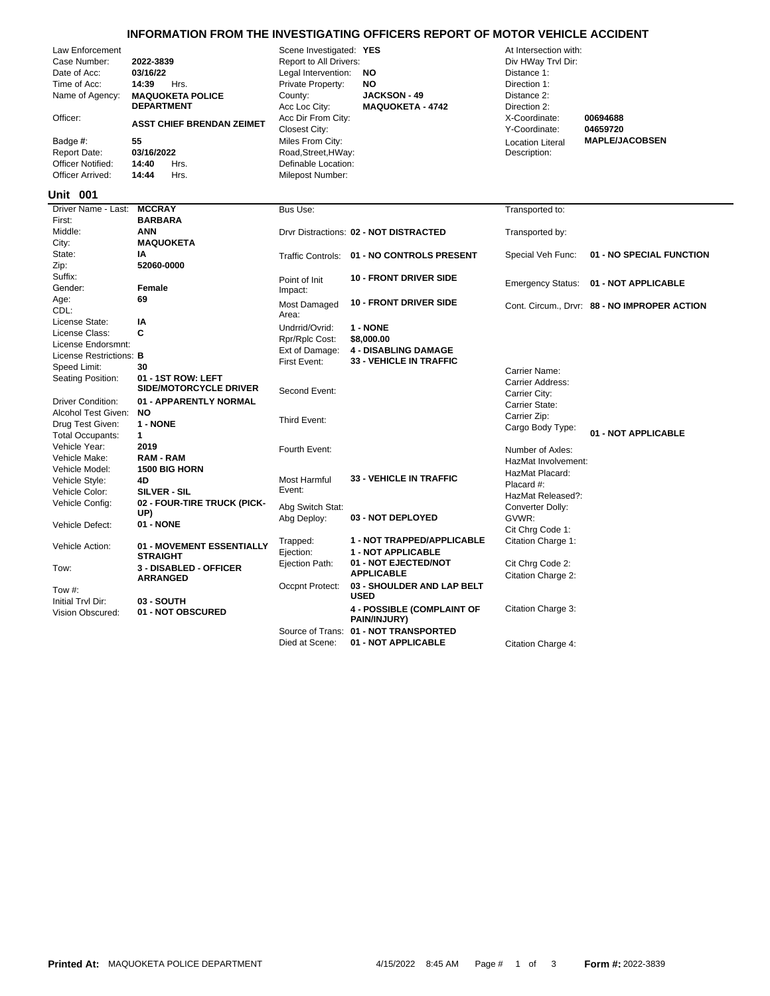## **INFORMATION FROM THE INVESTIGATING OFFICERS REPORT OF MOTOR VEHICLE ACCIDENT**

| Law Enforcement<br>Case Number:<br>Date of Acc:<br>Time of Acc:<br>Name of Agency:<br>Officer:<br>Badge #:<br><b>Report Date:</b><br>Officer Notified:<br>Officer Arrived: | 2022-3839<br>03/16/22<br>14:39<br>Hrs.<br><b>MAQUOKETA POLICE</b><br><b>DEPARTMENT</b><br><b>ASST CHIEF BRENDAN ZEIMET</b><br>55<br>03/16/2022<br>14:40<br>Hrs.<br>14:44<br>Hrs. | Scene Investigated: YES<br>Report to All Drivers:<br>Legal Intervention:<br>Private Property:<br>County:<br>Acc Loc City:<br>Acc Dir From City:<br>Closest City:<br>Miles From City:<br>Road, Street, HWay:<br>Definable Location:<br>Milepost Number: | NO<br>NO<br><b>JACKSON - 49</b><br><b>MAQUOKETA - 4742</b> | At Intersection with:<br>Div HWay Trvl Dir:<br>Distance 1:<br>Direction 1:<br>Distance 2:<br>Direction 2:<br>X-Coordinate:<br>Y-Coordinate:<br><b>Location Literal</b><br>Description: | 00694688<br>04659720<br><b>MAPLE/JACOBSEN</b> |
|----------------------------------------------------------------------------------------------------------------------------------------------------------------------------|----------------------------------------------------------------------------------------------------------------------------------------------------------------------------------|--------------------------------------------------------------------------------------------------------------------------------------------------------------------------------------------------------------------------------------------------------|------------------------------------------------------------|----------------------------------------------------------------------------------------------------------------------------------------------------------------------------------------|-----------------------------------------------|
| Unit 001                                                                                                                                                                   |                                                                                                                                                                                  |                                                                                                                                                                                                                                                        |                                                            |                                                                                                                                                                                        |                                               |
| Driver Name - Last:                                                                                                                                                        | <b>MCCRAY</b>                                                                                                                                                                    | Bus Use:                                                                                                                                                                                                                                               |                                                            | Transported to:                                                                                                                                                                        |                                               |
| First:<br>Middle:                                                                                                                                                          | <b>BARBARA</b><br><b>ANN</b>                                                                                                                                                     |                                                                                                                                                                                                                                                        | Drvr Distractions: 02 - NOT DISTRACTED                     |                                                                                                                                                                                        |                                               |
| City:                                                                                                                                                                      | <b>MAQUOKETA</b>                                                                                                                                                                 |                                                                                                                                                                                                                                                        |                                                            | Transported by:                                                                                                                                                                        |                                               |
| State:                                                                                                                                                                     | ΙA                                                                                                                                                                               | <b>Traffic Controls:</b>                                                                                                                                                                                                                               | 01 - NO CONTROLS PRESENT                                   | Special Veh Func:                                                                                                                                                                      | 01 - NO SPECIAL FUNCTION                      |
| Zip:                                                                                                                                                                       | 52060-0000                                                                                                                                                                       |                                                                                                                                                                                                                                                        |                                                            |                                                                                                                                                                                        |                                               |
| Suffix:                                                                                                                                                                    |                                                                                                                                                                                  | Point of Init                                                                                                                                                                                                                                          | <b>10 - FRONT DRIVER SIDE</b>                              | <b>Emergency Status:</b>                                                                                                                                                               | 01 - NOT APPLICABLE                           |
| Gender:                                                                                                                                                                    | Female                                                                                                                                                                           | Impact:                                                                                                                                                                                                                                                |                                                            |                                                                                                                                                                                        |                                               |
| Age:<br>CDL:                                                                                                                                                               | 69                                                                                                                                                                               | Most Damaged<br>Area:                                                                                                                                                                                                                                  | <b>10 - FRONT DRIVER SIDE</b>                              |                                                                                                                                                                                        | Cont. Circum., Drvr: 88 - NO IMPROPER ACTION  |
| License State:                                                                                                                                                             | IA                                                                                                                                                                               | Undrrid/Ovrid:                                                                                                                                                                                                                                         | 1 - NONE                                                   |                                                                                                                                                                                        |                                               |
| License Class:                                                                                                                                                             | C                                                                                                                                                                                | Rpr/Rplc Cost:                                                                                                                                                                                                                                         | \$8,000.00                                                 |                                                                                                                                                                                        |                                               |
| License Endorsmnt:<br>License Restrictions: B                                                                                                                              |                                                                                                                                                                                  | Ext of Damage:                                                                                                                                                                                                                                         | <b>4 - DISABLING DAMAGE</b>                                |                                                                                                                                                                                        |                                               |
| Speed Limit:                                                                                                                                                               | 30                                                                                                                                                                               | First Event:                                                                                                                                                                                                                                           | <b>33 - VEHICLE IN TRAFFIC</b>                             |                                                                                                                                                                                        |                                               |
| Seating Position:                                                                                                                                                          | 01 - 1ST ROW: LEFT                                                                                                                                                               |                                                                                                                                                                                                                                                        |                                                            | Carrier Name:                                                                                                                                                                          |                                               |
|                                                                                                                                                                            | <b>SIDE/MOTORCYCLE DRIVER</b>                                                                                                                                                    | Second Event:                                                                                                                                                                                                                                          |                                                            | <b>Carrier Address:</b><br>Carrier City:                                                                                                                                               |                                               |
| <b>Driver Condition:</b>                                                                                                                                                   | 01 - APPARENTLY NORMAL                                                                                                                                                           |                                                                                                                                                                                                                                                        |                                                            | Carrier State:                                                                                                                                                                         |                                               |
| Alcohol Test Given:                                                                                                                                                        | <b>NO</b>                                                                                                                                                                        | Third Event:                                                                                                                                                                                                                                           |                                                            | Carrier Zip:                                                                                                                                                                           |                                               |
| Drug Test Given:                                                                                                                                                           | 1 - NONE                                                                                                                                                                         |                                                                                                                                                                                                                                                        |                                                            | Cargo Body Type:                                                                                                                                                                       |                                               |
| <b>Total Occupants:</b>                                                                                                                                                    | $\mathbf 1$                                                                                                                                                                      |                                                                                                                                                                                                                                                        |                                                            |                                                                                                                                                                                        | 01 - NOT APPLICABLE                           |
| Vehicle Year:<br>Vehicle Make:                                                                                                                                             | 2019<br><b>RAM - RAM</b>                                                                                                                                                         | Fourth Event:                                                                                                                                                                                                                                          |                                                            | Number of Axles:                                                                                                                                                                       |                                               |
| Vehicle Model:                                                                                                                                                             | <b>1500 BIG HORN</b>                                                                                                                                                             |                                                                                                                                                                                                                                                        |                                                            | HazMat Involvement:                                                                                                                                                                    |                                               |
| Vehicle Style:                                                                                                                                                             | 4D                                                                                                                                                                               | Most Harmful                                                                                                                                                                                                                                           | <b>33 - VEHICLE IN TRAFFIC</b>                             | HazMat Placard:<br>Placard #:                                                                                                                                                          |                                               |
| Vehicle Color:                                                                                                                                                             | <b>SILVER - SIL</b>                                                                                                                                                              | Event:                                                                                                                                                                                                                                                 |                                                            | HazMat Released?:                                                                                                                                                                      |                                               |
| Vehicle Config:                                                                                                                                                            | 02 - FOUR-TIRE TRUCK (PICK-                                                                                                                                                      | Abg Switch Stat:                                                                                                                                                                                                                                       |                                                            | Converter Dolly:                                                                                                                                                                       |                                               |
|                                                                                                                                                                            | UP)                                                                                                                                                                              | Abg Deploy:                                                                                                                                                                                                                                            | 03 - NOT DEPLOYED                                          | GVWR:                                                                                                                                                                                  |                                               |
| Vehicle Defect:                                                                                                                                                            | 01 - NONE                                                                                                                                                                        |                                                                                                                                                                                                                                                        |                                                            | Cit Chrg Code 1:                                                                                                                                                                       |                                               |
| Vehicle Action:                                                                                                                                                            | 01 - MOVEMENT ESSENTIALLY<br><b>STRAIGHT</b>                                                                                                                                     | Trapped:<br>Ejection:                                                                                                                                                                                                                                  | 1 - NOT TRAPPED/APPLICABLE<br>1 - NOT APPLICABLE           | Citation Charge 1:                                                                                                                                                                     |                                               |
| Tow:                                                                                                                                                                       | 3 - DISABLED - OFFICER                                                                                                                                                           | Ejection Path:                                                                                                                                                                                                                                         | 01 - NOT EJECTED/NOT<br><b>APPLICABLE</b>                  | Cit Chrg Code 2:<br>Citation Charge 2:                                                                                                                                                 |                                               |
| Tow #:                                                                                                                                                                     | <b>ARRANGED</b>                                                                                                                                                                  | Occpnt Protect:                                                                                                                                                                                                                                        | 03 - SHOULDER AND LAP BELT                                 |                                                                                                                                                                                        |                                               |
| Initial Trvl Dir:                                                                                                                                                          | 03 - SOUTH                                                                                                                                                                       |                                                                                                                                                                                                                                                        | <b>USED</b>                                                |                                                                                                                                                                                        |                                               |
| Vision Obscured:                                                                                                                                                           | 01 - NOT OBSCURED                                                                                                                                                                |                                                                                                                                                                                                                                                        | <b>4 - POSSIBLE (COMPLAINT OF</b><br>PAIN/INJURY)          | Citation Charge 3:                                                                                                                                                                     |                                               |
|                                                                                                                                                                            |                                                                                                                                                                                  |                                                                                                                                                                                                                                                        | Source of Trans: 01 - NOT TRANSPORTED                      |                                                                                                                                                                                        |                                               |

Died at Scene: **01 - NOT APPLICABLE** Citation Charge 4: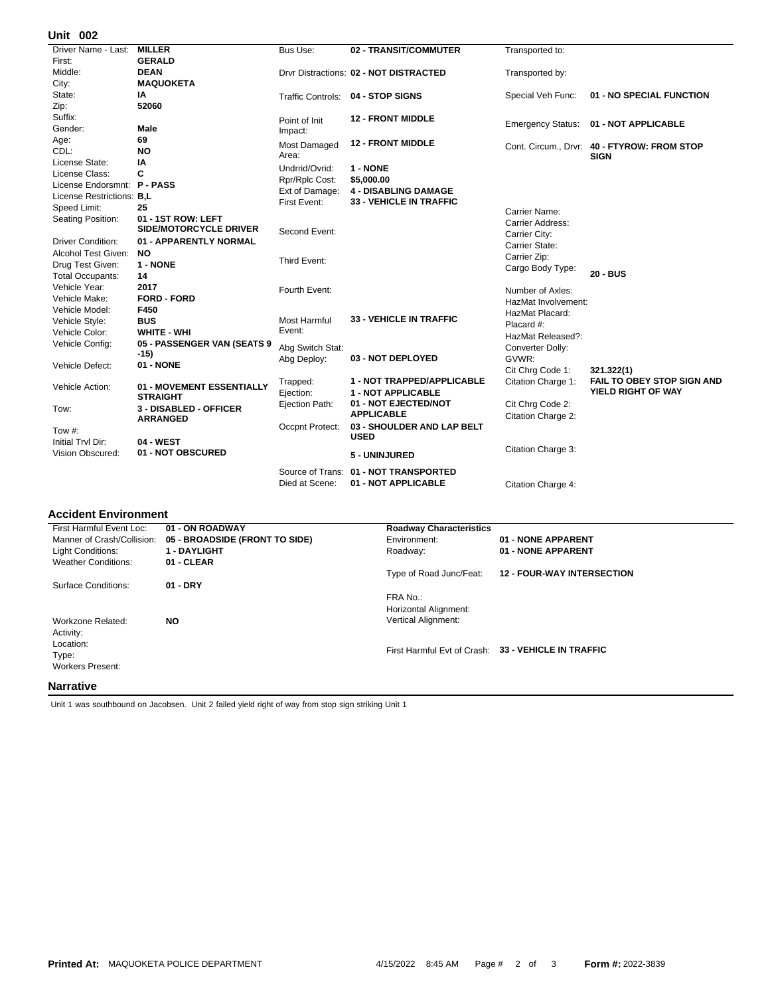## **002 Unit**

| UIIIL VU <i>l</i>           |                               |                     |                                        |                          |                                             |
|-----------------------------|-------------------------------|---------------------|----------------------------------------|--------------------------|---------------------------------------------|
| Driver Name - Last:         | <b>MILLER</b>                 | Bus Use:            | 02 - TRANSIT/COMMUTER                  | Transported to:          |                                             |
| First:                      | <b>GERALD</b>                 |                     |                                        |                          |                                             |
| Middle:                     | <b>DEAN</b>                   |                     | Drvr Distractions: 02 - NOT DISTRACTED | Transported by:          |                                             |
| City:                       | <b>MAQUOKETA</b>              |                     |                                        |                          |                                             |
| State:                      | ΙA                            |                     | Traffic Controls: 04 - STOP SIGNS      | Special Veh Func:        | 01 - NO SPECIAL FUNCTION                    |
| Zip:                        | 52060                         |                     |                                        |                          |                                             |
| Suffix:                     |                               | Point of Init       | <b>12 - FRONT MIDDLE</b>               |                          | 01 - NOT APPLICABLE                         |
| Gender:                     | Male                          | Impact:             |                                        | <b>Emergency Status:</b> |                                             |
| Age:                        | 69                            | <b>Most Damaged</b> | <b>12 - FRONT MIDDLE</b>               |                          | Cont. Circum., Drvr: 40 - FTYROW: FROM STOP |
| CDL:                        | <b>NO</b>                     | Area:               |                                        |                          | <b>SIGN</b>                                 |
| License State:              | IA                            | Undrrid/Ovrid:      | 1 - NONE                               |                          |                                             |
| License Class:              | C                             | Rpr/Rplc Cost:      | \$5,000.00                             |                          |                                             |
| License Endorsmnt: P - PASS |                               | Ext of Damage:      | <b>4 - DISABLING DAMAGE</b>            |                          |                                             |
| License Restrictions: B,L   |                               | First Event:        | <b>33 - VEHICLE IN TRAFFIC</b>         |                          |                                             |
| Speed Limit:                | 25                            |                     |                                        | Carrier Name:            |                                             |
| Seating Position:           | 01 - 1ST ROW: LEFT            |                     |                                        | <b>Carrier Address:</b>  |                                             |
|                             | <b>SIDE/MOTORCYCLE DRIVER</b> | Second Event:       |                                        | Carrier City:            |                                             |
| <b>Driver Condition:</b>    | 01 - APPARENTLY NORMAL        |                     |                                        | Carrier State:           |                                             |
| Alcohol Test Given:         | <b>NO</b>                     |                     |                                        | Carrier Zip:             |                                             |
| Drug Test Given:            | 1 - NONE                      | Third Event:        |                                        | Cargo Body Type:         |                                             |
| <b>Total Occupants:</b>     | 14                            |                     |                                        |                          | 20 - BUS                                    |
| Vehicle Year:               | 2017                          | Fourth Event:       |                                        | Number of Axles:         |                                             |
| Vehicle Make:               | <b>FORD - FORD</b>            |                     |                                        | HazMat Involvement:      |                                             |
| Vehicle Model:              | F450                          |                     |                                        | HazMat Placard:          |                                             |
| Vehicle Style:              | <b>BUS</b>                    | <b>Most Harmful</b> | <b>33 - VEHICLE IN TRAFFIC</b>         | Placard #:               |                                             |
| Vehicle Color:              | <b>WHITE - WHI</b>            | Event:              |                                        | HazMat Released?:        |                                             |
| Vehicle Config:             | 05 - PASSENGER VAN (SEATS 9   | Abg Switch Stat:    |                                        | Converter Dolly:         |                                             |
|                             | $-15)$                        | Abg Deploy:         | 03 - NOT DEPLOYED                      | GVWR:                    |                                             |
| Vehicle Defect:             | 01 - NONE                     |                     |                                        | Cit Chrg Code 1:         | 321.322(1)                                  |
|                             |                               | Trapped:            | 1 - NOT TRAPPED/APPLICABLE             | Citation Charge 1:       | FAIL TO OBEY STOP SIGN AND                  |
| Vehicle Action:             | 01 - MOVEMENT ESSENTIALLY     | Ejection:           | <b>1 - NOT APPLICABLE</b>              |                          | YIELD RIGHT OF WAY                          |
|                             | <b>STRAIGHT</b>               | Ejection Path:      | 01 - NOT EJECTED/NOT                   | Cit Chrg Code 2:         |                                             |
| Tow:                        | 3 - DISABLED - OFFICER        |                     | <b>APPLICABLE</b>                      | Citation Charge 2:       |                                             |
|                             | <b>ARRANGED</b>               | Occpnt Protect:     | 03 - SHOULDER AND LAP BELT             |                          |                                             |
| Tow #:                      |                               |                     | <b>USED</b>                            |                          |                                             |
| Initial Trvl Dir:           | 04 - WEST                     |                     |                                        | Citation Charge 3:       |                                             |
| Vision Obscured:            | 01 - NOT OBSCURED             |                     | 5 - UNINJURED                          |                          |                                             |
|                             |                               | Source of Trans:    | 01 - NOT TRANSPORTED                   |                          |                                             |
|                             |                               | Died at Scene:      | 01 - NOT APPLICABLE                    | Citation Charge 4:       |                                             |
|                             |                               |                     |                                        |                          |                                             |

## **Accident Environment**

| First Harmful Event Loc:   | 01 - ON ROADWAY                | <b>Roadway Characteristics</b> |                                                     |
|----------------------------|--------------------------------|--------------------------------|-----------------------------------------------------|
| Manner of Crash/Collision: | 05 - BROADSIDE (FRONT TO SIDE) | Environment:                   | 01 - NONE APPARENT                                  |
| <b>Light Conditions:</b>   | <b>1 - DAYLIGHT</b>            | Roadway:                       | 01 - NONE APPARENT                                  |
| <b>Weather Conditions:</b> | 01 - CLEAR                     |                                |                                                     |
|                            |                                | Type of Road Junc/Feat:        | <b>12 - FOUR-WAY INTERSECTION</b>                   |
| <b>Surface Conditions:</b> | $01 - DRY$                     |                                |                                                     |
|                            |                                | FRA No.:                       |                                                     |
|                            |                                | Horizontal Alignment:          |                                                     |
| Workzone Related:          | <b>NO</b>                      | <b>Vertical Alignment:</b>     |                                                     |
| Activity:                  |                                |                                |                                                     |
| Location:                  |                                |                                |                                                     |
| Type:                      |                                |                                | First Harmful Evt of Crash: 33 - VEHICLE IN TRAFFIC |
| <b>Workers Present:</b>    |                                |                                |                                                     |
|                            |                                |                                |                                                     |
| <b>Narrative</b>           |                                |                                |                                                     |

Unit 1 was southbound on Jacobsen. Unit 2 failed yield right of way from stop sign striking Unit 1